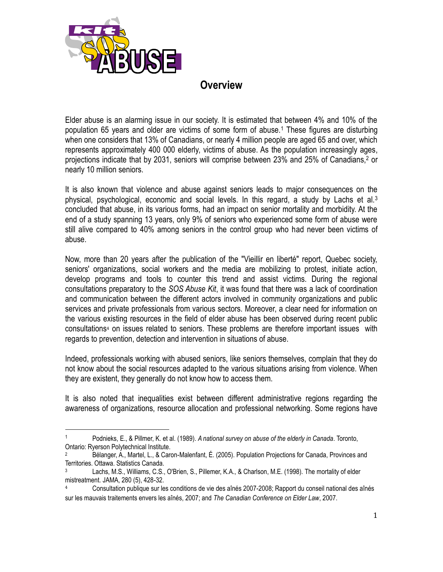

 $\overline{a}$ 

# **Overview**

Elder abuse is an alarming issue in our society. It is estimated that between 4% and 10% of the population 65 years and older are victims of some form of abuse.<sup>1</sup> These figures are disturbing when one considers that 13% of Canadians, or nearly 4 million people are aged 65 and over, which represents approximately 400 000 elderly, victims of abuse. As the population increasingly ages, projections indicate that by 2031, seniors will comprise between 23% and 25% of Canadians,<sup>2</sup> or nearly 10 million seniors.

It is also known that violence and abuse against seniors leads to major consequences on the physical, psychological, economic and social levels. In this regard, a study by Lachs et al.<sup>3</sup> concluded that abuse, in its various forms, had an impact on senior mortality and morbidity. At the end of a study spanning 13 years, only 9% of seniors who experienced some form of abuse were still alive compared to 40% among seniors in the control group who had never been victims of abuse.

Now, more than 20 years after the publication of the "Vieillir en liberté" report, Quebec society, seniors' organizations, social workers and the media are mobilizing to protest, initiate action, develop programs and tools to counter this trend and assist victims. During the regional consultations preparatory to the *SOS Abuse Kit*, it was found that there was a lack of coordination and communication between the different actors involved in community organizations and public services and private professionals from various sectors. Moreover, a clear need for information on the various existing resources in the field of elder abuse has been observed during recent public consultations<sup>4</sup> on issues related to seniors. These problems are therefore important issues with regards to prevention, detection and intervention in situations of abuse.

Indeed, professionals working with abused seniors, like seniors themselves, complain that they do not know about the social resources adapted to the various situations arising from violence. When they are existent, they generally do not know how to access them.

It is also noted that inequalities exist between different administrative regions regarding the awareness of organizations, resource allocation and professional networking. Some regions have

<sup>1</sup> Podnieks, E., & Pillmer, K. et al. (1989). *A national survey on abuse of the elderly in Canada*. Toronto, Ontario: Ryerson Polytechnical Institute.

<sup>2</sup> Bélanger, A., Martel, L., & Caron-Malenfant, É. (2005). Population Projections for Canada, Provinces and Territories. Ottawa. Statistics Canada.

<sup>3</sup> Lachs, M.S., Williams, C.S., O'Brien, S., Pillemer, K.A., & Charlson, M.E. (1998). The mortality of elder mistreatment. JAMA, 280 (5), 428-32.

<sup>4</sup> Consultation publique sur les conditions de vie des aînés 2007-2008; Rapport du conseil national des aînés sur les mauvais traitements envers les aînés, 2007; and *The Canadian Conference on Elder Law*, 2007.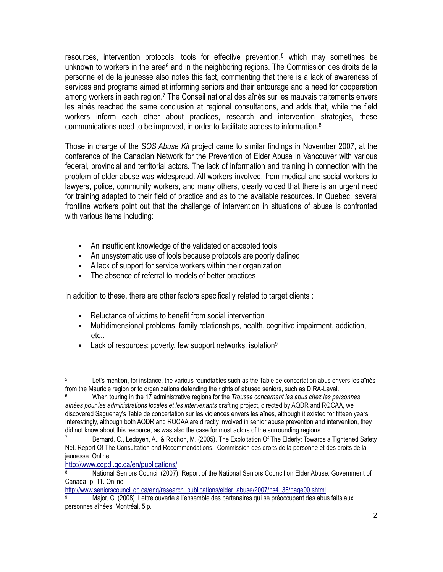resources, intervention protocols, tools for effective prevention,<sup>5</sup> which may sometimes be unknown to workers in the area $6$  and in the neighboring regions. The Commission des droits de la personne et de la jeunesse also notes this fact, commenting that there is a lack of awareness of services and programs aimed at informing seniors and their entourage and a need for cooperation among workers in each region.<sup>7</sup> The Conseil national des aînés sur les mauvais traitements envers les aînés reached the same conclusion at regional consultations, and adds that, while the field workers inform each other about practices, research and intervention strategies, these communications need to be improved, in order to facilitate access to information.<sup>8</sup>

Those in charge of the *SOS Abuse Kit* project came to similar findings in November 2007, at the conference of the Canadian Network for the Prevention of Elder Abuse in Vancouver with various federal, provincial and territorial actors. The lack of information and training in connection with the problem of elder abuse was widespread. All workers involved, from medical and social workers to lawyers, police, community workers, and many others, clearly voiced that there is an urgent need for training adapted to their field of practice and as to the available resources. In Quebec, several frontline workers point out that the challenge of intervention in situations of abuse is confronted with various items including:

- An insufficient knowledge of the validated or accepted tools
- An unsystematic use of tools because protocols are poorly defined
- A lack of support for service workers within their organization
- The absence of referral to models of better practices

In addition to these, there are other factors specifically related to target clients :

- Reluctance of victims to benefit from social intervention
- Multidimensional problems: family relationships, health, cognitive impairment, addiction, etc..
- **Lack of resources: poverty, few support networks, isolation**<sup>9</sup>

[http://www.seniorscouncil.gc.ca/eng/research\\_publications/elder\\_abuse/2007/hs4\\_38/page00.shtml](http://www.seniorscouncil.gc.ca/eng/research_publications/elder_abuse/2007/hs4_38/page00.shtml)

 $\overline{a}$ <sup>5</sup> Let's mention, for instance, the various roundtables such as the Table de concertation abus envers les aînés from the Mauricie region or to organizations defending the rights of abused seniors, such as DIRA-Laval.

<sup>6</sup> When touring in the 17 administrative regions for the *Trousse concernant les abus chez les personnes aînées pour les administrations locales et les intervenants* drafting project, directed by AQDR and RQCAA, we discovered Saguenay's Table de concertation sur les violences envers les aînés, although it existed for fifteen years. Interestingly, although both AQDR and RQCAA are directly involved in senior abuse prevention and intervention, they did not know about this resource, as was also the case for most actors of the surrounding regions.

Bernard, C., Ledoyen, A., & Rochon, M. (2005). The Exploitation Of The Elderly: Towards a Tightened Safety Net. Report Of The Consultation and Recommendations. Commission des droits de la personne et des droits de la jeunesse. Online:

[http://www.cdpdj.qc.ca/en/publications/](http://www.cdpdj.qc.ca/fr/publications/docs/Suivi_exploitation.pdf)

<sup>8</sup> National Seniors Council (2007). Report of the National Seniors Council on Elder Abuse. Government of Canada, p. 11. Online:

Major, C. (2008). Lettre ouverte à l'ensemble des partenaires qui se préoccupent des abus faits aux personnes aînées, Montréal, 5 p.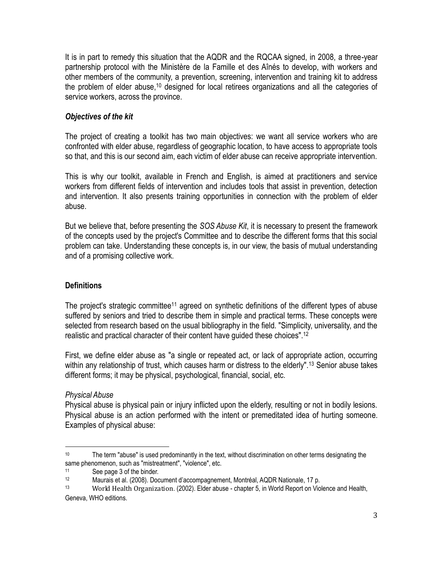It is in part to remedy this situation that the AQDR and the RQCAA signed, in 2008, a three-year partnership protocol with the Ministère de la Famille et des Aînés to develop, with workers and other members of the community, a prevention, screening, intervention and training kit to address the problem of elder abuse,<sup>10</sup> designed for local retirees organizations and all the categories of service workers, across the province.

# *Objectives of the kit*

The project of creating a toolkit has two main objectives: we want all service workers who are confronted with elder abuse, regardless of geographic location, to have access to appropriate tools so that, and this is our second aim, each victim of elder abuse can receive appropriate intervention.

This is why our toolkit, available in French and English, is aimed at practitioners and service workers from different fields of intervention and includes tools that assist in prevention, detection and intervention. It also presents training opportunities in connection with the problem of elder abuse.

But we believe that, before presenting the *SOS Abuse Kit*, it is necessary to present the framework of the concepts used by the project's Committee and to describe the different forms that this social problem can take. Understanding these concepts is, in our view, the basis of mutual understanding and of a promising collective work.

# **Definitions**

The project's strategic committee<sup>11</sup> agreed on synthetic definitions of the different types of abuse suffered by seniors and tried to describe them in simple and practical terms. These concepts were selected from research based on the usual bibliography in the field. "Simplicity, universality, and the realistic and practical character of their content have guided these choices".<sup>12</sup>

First, we define elder abuse as "a single or repeated act, or lack of appropriate action, occurring within any relationship of trust, which causes harm or distress to the elderly".<sup>13</sup> Senior abuse takes different forms; it may be physical, psychological, financial, social, etc.

# *Physical Abuse*

Physical abuse is physical pain or injury inflicted upon the elderly, resulting or not in bodily lesions. Physical abuse is an action performed with the intent or premeditated idea of hurting someone. Examples of physical abuse:

 $\overline{a}$ <sup>10</sup> The term "abuse" is used predominantly in the text, without discrimination on other terms designating the same phenomenon, such as "mistreatment", "violence", etc.

<sup>11</sup> See page 3 of the binder.

<sup>12</sup> Maurais et al. (2008). Document d'accompagnement, Montréal, AQDR Nationale, 17 p.

<sup>13</sup> World Health Organization. (2002). Elder abuse - chapter 5, in World Report on Violence and Health, Geneva, WHO editions.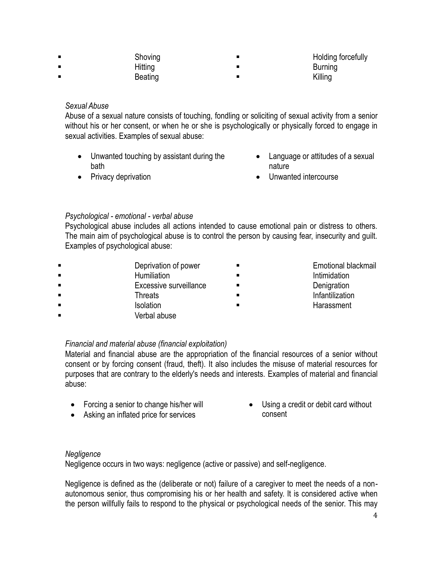| Shoving | Holding forcefully |
|---------|--------------------|
| Hitting | <b>Burning</b>     |
| Beating | Killing            |

#### *Sexual Abuse*

Abuse of a sexual nature consists of touching, fondling or soliciting of sexual activity from a senior without his or her consent, or when he or she is psychologically or physically forced to engage in sexual activities. Examples of sexual abuse:

- Unwanted touching by assistant during the bath
- Privacy deprivation
- Language or attitudes of a sexual nature
- Unwanted intercourse

# *Psychological - emotional - verbal abuse*

Psychological abuse includes all actions intended to cause emotional pain or distress to others. The main aim of psychological abuse is to control the person by causing fear, insecurity and guilt. Examples of psychological abuse:

**Example 3** Deprivation of power **Example 2 Constants Emotional blackmail Example 3** Humiliation **Intimidation Intimidation Excessive surveillance Denigration Threats Infantilization Infantilization Isolation Community Community Harassment** Verbal abuse

# *Financial and material abuse (financial exploitation)*

Material and financial abuse are the appropriation of the financial resources of a senior without consent or by forcing consent (fraud, theft). It also includes the misuse of material resources for purposes that are contrary to the elderly's needs and interests. Examples of material and financial abuse:

- Forcing a senior to change his/her will
- Asking an inflated price for services
- Using a credit or debit card without consent

# *Negligence*

Negligence occurs in two ways: negligence (active or passive) and self-negligence.

Negligence is defined as the (deliberate or not) failure of a caregiver to meet the needs of a nonautonomous senior, thus compromising his or her health and safety. It is considered active when the person willfully fails to respond to the physical or psychological needs of the senior. This may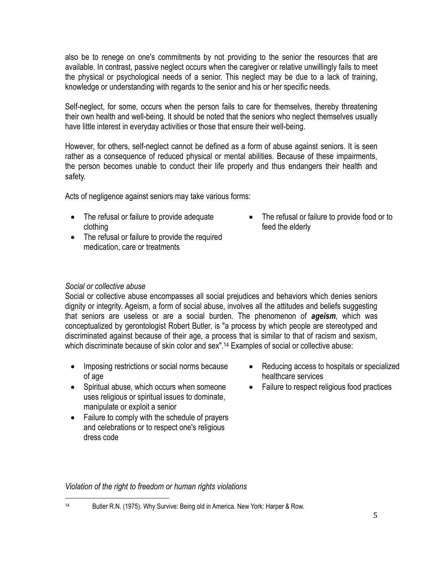also be to renege on one's commitments by not providing to the senior the resources that are available. In contrast, passive neglect occurs when the caregiver or relative unwillingly fails to meet the physical or psychological needs of a senior. This neglect may be due to a lack of training, knowledge or understanding with regards to the senior and his or her specific needs.

Self-neglect, for some, occurs when the person fails to care for themselves, thereby threatening their own health and well-being. It should be noted that the seniors who neglect themselves usually have little interest in everyday activities or those that ensure their well-being.

However, for others, self-neglect cannot be defined as a form of abuse against seniors. It is seen rather as a consequence of reduced physical or mental abilities. Because of these impairments, the person becomes unable to conduct their life properly and thus endangers their health and safety.

Acts of negligence against seniors may take various forms:

- The refusal or failure to provide adequate clothing
- The refusal or failure to provide the required medication, care or treatments
- The refusal or failure to provide food or to feed the elderly

#### *Social or collective abuse*

Social or collective abuse encompasses all social prejudices and behaviors which denies seniors dignity or integrity. Ageism, a form of social abuse, involves all the attitudes and beliefs suggesting that seniors are useless or are a social burden. The phenomenon of *ageism*, which was conceptualized by gerontologist Robert Butler, is "a process by which people are stereotyped and discriminated against because of their age, a process that is similar to that of racism and sexism, which discriminate because of skin color and sex".<sup>14</sup> Examples of social or collective abuse:

- Imposing restrictions or social norms because of age
- Spiritual abuse, which occurs when someone uses religious or spiritual issues to dominate, manipulate or exploit a senior
- Failure to comply with the schedule of prayers and celebrations or to respect one's religious dress code
- Reducing access to hospitals or specialized healthcare services
- Failure to respect religious food practices

*Violation of the right to freedom or human rights violations*

 $\overline{a}$ <sup>14</sup> Butler R.N. (1975). Why Survive: Being old in America. New York: Harper & Row.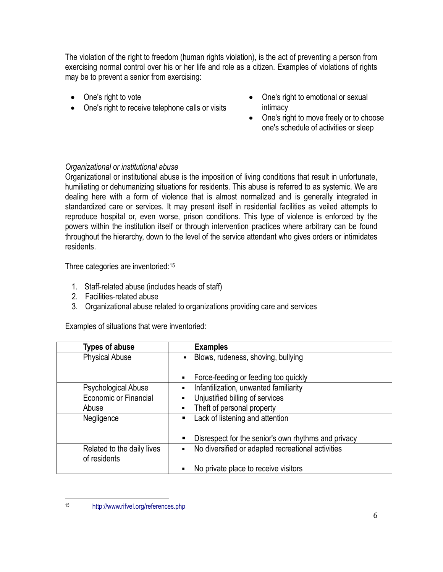The violation of the right to freedom (human rights violation), is the act of preventing a person from exercising normal control over his or her life and role as a citizen. Examples of violations of rights may be to prevent a senior from exercising:

- One's right to vote
- One's right to receive telephone calls or visits
- One's right to emotional or sexual intimacy
- One's right to move freely or to choose one's schedule of activities or sleep

# *Organizational or institutional abuse*

Organizational or institutional abuse is the imposition of living conditions that result in unfortunate, humiliating or dehumanizing situations for residents. This abuse is referred to as systemic. We are dealing here with a form of violence that is almost normalized and is generally integrated in standardized care or services. It may present itself in residential facilities as veiled attempts to reproduce hospital or, even worse, prison conditions. This type of violence is enforced by the powers within the institution itself or through intervention practices where arbitrary can be found throughout the hierarchy, down to the level of the service attendant who gives orders or intimidates residents.

Three categories are inventoried:<sup>15</sup>

- 1. Staff-related abuse (includes heads of staff)
- 2. Facilities-related abuse
- 3. Organizational abuse related to organizations providing care and services

Examples of situations that were inventoried:

| <b>Types of abuse</b>                      | <b>Examples</b>                                          |
|--------------------------------------------|----------------------------------------------------------|
| <b>Physical Abuse</b>                      | Blows, rudeness, shoving, bullying<br>Ξ                  |
|                                            | Force-feeding or feeding too quickly                     |
| Psychological Abuse                        | Infantilization, unwanted familiarity                    |
| <b>Economic or Financial</b>               | Unjustified billing of services                          |
| Abuse                                      | Theft of personal property                               |
| Negligence                                 | Lack of listening and attention<br>п                     |
|                                            | Disrespect for the senior's own rhythms and privacy<br>ш |
| Related to the daily lives<br>of residents | No diversified or adapted recreational activities<br>٠   |
|                                            | No private place to receive visitors                     |

<sup>15</sup> <http://www.rifvel.org/references.php>

 $\overline{a}$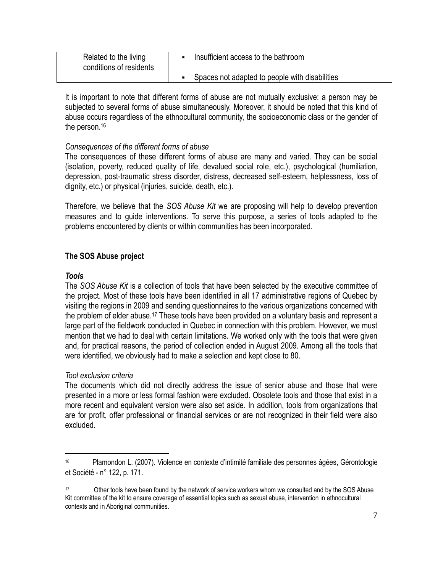| Related to the living<br>conditions of residents | Insufficient access to the bathroom            |
|--------------------------------------------------|------------------------------------------------|
|                                                  | Spaces not adapted to people with disabilities |

It is important to note that different forms of abuse are not mutually exclusive: a person may be subjected to several forms of abuse simultaneously. Moreover, it should be noted that this kind of abuse occurs regardless of the ethnocultural community, the socioeconomic class or the gender of the person.<sup>16</sup>

# *Consequences of the different forms of abuse*

The consequences of these different forms of abuse are many and varied. They can be social (isolation, poverty, reduced quality of life, devalued social role, etc.), psychological (humiliation, depression, post-traumatic stress disorder, distress, decreased self-esteem, helplessness, loss of dignity, etc.) or physical (injuries, suicide, death, etc.).

Therefore, we believe that the *SOS Abuse Kit* we are proposing will help to develop prevention measures and to guide interventions. To serve this purpose, a series of tools adapted to the problems encountered by clients or within communities has been incorporated.

# **The SOS Abuse project**

#### *Tools*

 $\overline{a}$ 

The *SOS Abuse Kit* is a collection of tools that have been selected by the executive committee of the project. Most of these tools have been identified in all 17 administrative regions of Quebec by visiting the regions in 2009 and sending questionnaires to the various organizations concerned with the problem of elder abuse.<sup>17</sup> These tools have been provided on a voluntary basis and represent a large part of the fieldwork conducted in Quebec in connection with this problem. However, we must mention that we had to deal with certain limitations. We worked only with the tools that were given and, for practical reasons, the period of collection ended in August 2009. Among all the tools that were identified, we obviously had to make a selection and kept close to 80.

#### *Tool exclusion criteria*

The documents which did not directly address the issue of senior abuse and those that were presented in a more or less formal fashion were excluded. Obsolete tools and those that exist in a more recent and equivalent version were also set aside. In addition, tools from organizations that are for profit, offer professional or financial services or are not recognized in their field were also excluded.

<sup>16</sup> Plamondon L. (2007). Violence en contexte d'intimité familiale des personnes âgées, Gérontologie et Société - n° 122, p. 171.

<sup>17</sup> Other tools have been found by the network of service workers whom we consulted and by the SOS Abuse Kit committee of the kit to ensure coverage of essential topics such as sexual abuse, intervention in ethnocultural contexts and in Aboriginal communities.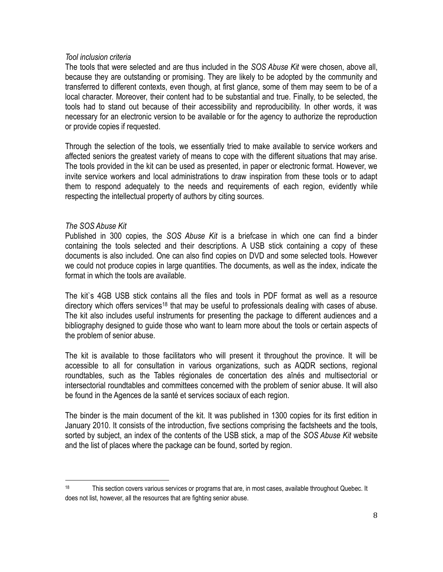#### *Tool inclusion criteria*

The tools that were selected and are thus included in the *SOS Abuse Kit* were chosen, above all, because they are outstanding or promising. They are likely to be adopted by the community and transferred to different contexts, even though, at first glance, some of them may seem to be of a local character. Moreover, their content had to be substantial and true. Finally, to be selected, the tools had to stand out because of their accessibility and reproducibility. In other words, it was necessary for an electronic version to be available or for the agency to authorize the reproduction or provide copies if requested.

Through the selection of the tools, we essentially tried to make available to service workers and affected seniors the greatest variety of means to cope with the different situations that may arise. The tools provided in the kit can be used as presented, in paper or electronic format. However, we invite service workers and local administrations to draw inspiration from these tools or to adapt them to respond adequately to the needs and requirements of each region, evidently while respecting the intellectual property of authors by citing sources.

#### *The SOS Abuse Kit*

 $\overline{a}$ 

Published in 300 copies, the *SOS Abuse Kit* is a briefcase in which one can find a binder containing the tools selected and their descriptions. A USB stick containing a copy of these documents is also included. One can also find copies on DVD and some selected tools. However we could not produce copies in large quantities. The documents, as well as the index, indicate the format in which the tools are available.

The kit`s 4GB USB stick contains all the files and tools in PDF format as well as a resource directory which offers services<sup>18</sup> that may be useful to professionals dealing with cases of abuse. The kit also includes useful instruments for presenting the package to different audiences and a bibliography designed to guide those who want to learn more about the tools or certain aspects of the problem of senior abuse.

The kit is available to those facilitators who will present it throughout the province. It will be accessible to all for consultation in various organizations, such as AQDR sections, regional roundtables, such as the Tables régionales de concertation des aînés and multisectorial or intersectorial roundtables and committees concerned with the problem of senior abuse. It will also be found in the Agences de la santé et services sociaux of each region.

The binder is the main document of the kit. It was published in 1300 copies for its first edition in January 2010. It consists of the introduction, five sections comprising the factsheets and the tools, sorted by subject, an index of the contents of the USB stick, a map of the *SOS Abuse Kit* website and the list of places where the package can be found, sorted by region.

<sup>&</sup>lt;sup>18</sup> This section covers various services or programs that are, in most cases, available throughout Quebec. It does not list, however, all the resources that are fighting senior abuse.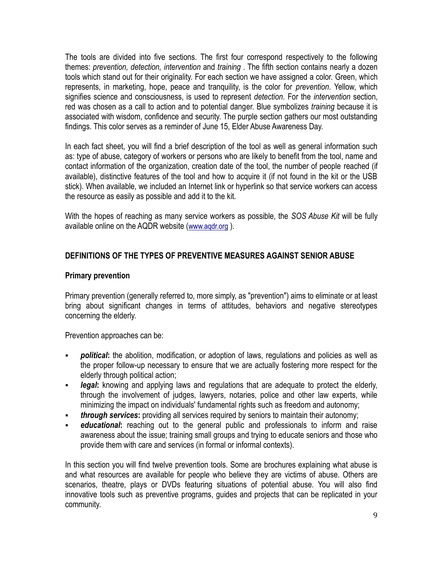The tools are divided into five sections. The first four correspond respectively to the following themes: *prevention, detection, intervention* and *training* . The fifth section contains nearly a dozen tools which stand out for their originality. For each section we have assigned a color. Green, which represents, in marketing, hope, peace and tranquility, is the color for *prevention*. Yellow, which signifies science and consciousness, is used to represent *detection*. For the *intervention* section, red was chosen as a call to action and to potential danger. Blue symbolizes *training* because it is associated with wisdom, confidence and security. The purple section gathers our most outstanding findings. This color serves as a reminder of June 15, Elder Abuse Awareness Day.

In each fact sheet, you will find a brief description of the tool as well as general information such as: type of abuse, category of workers or persons who are likely to benefit from the tool, name and contact information of the organization, creation date of the tool, the number of people reached (if available), distinctive features of the tool and how to acquire it (if not found in the kit or the USB stick). When available, we included an Internet link or hyperlink so that service workers can access the resource as easily as possible and add it to the kit.

With the hopes of reaching as many service workers as possible, the *SOS Abuse Kit* will be fully available online on the AQDR website ([www.aqdr.org](http://www.aqdr.org/) ).

# **DEFINITIONS OF THE TYPES OF PREVENTIVE MEASURES AGAINST SENIOR ABUSE**

#### **Primary prevention**

Primary prevention (generally referred to, more simply, as "prevention") aims to eliminate or at least bring about significant changes in terms of attitudes, behaviors and negative stereotypes concerning the elderly.

Prevention approaches can be:

- **political**: the abolition, modification, or adoption of laws, regulations and policies as well as the proper follow-up necessary to ensure that we are actually fostering more respect for the elderly through political action;
- *legal:* knowing and applying laws and regulations that are adequate to protect the elderly, through the involvement of judges, lawyers, notaries, police and other law experts, while minimizing the impact on individuals' fundamental rights such as freedom and autonomy;
- *through services***:** providing all services required by seniors to maintain their autonomy;
- *educational*: reaching out to the general public and professionals to inform and raise awareness about the issue; training small groups and trying to educate seniors and those who provide them with care and services (in formal or informal contexts).

In this section you will find twelve prevention tools. Some are brochures explaining what abuse is and what resources are available for people who believe they are victims of abuse. Others are scenarios, theatre, plays or DVDs featuring situations of potential abuse. You will also find innovative tools such as preventive programs, guides and projects that can be replicated in your community.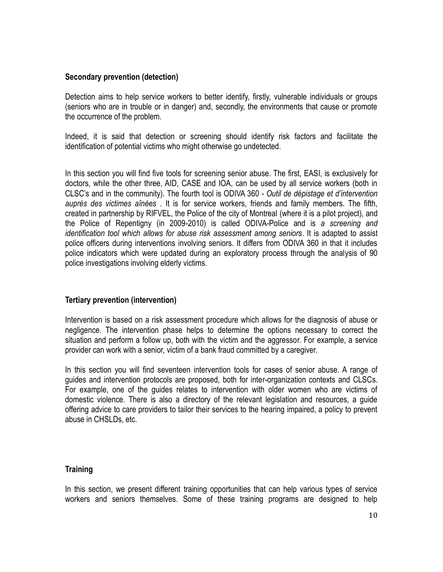#### **Secondary prevention (detection)**

Detection aims to help service workers to better identify, firstly, vulnerable individuals or groups (seniors who are in trouble or in danger) and, secondly, the environments that cause or promote the occurrence of the problem.

Indeed, it is said that detection or screening should identify risk factors and facilitate the identification of potential victims who might otherwise go undetected.

In this section you will find five tools for screening senior abuse. The first, EASI, is exclusively for doctors, while the other three, AID, CASE and IOA, can be used by all service workers (both in CLSC's and in the community). The fourth tool is ODIVA 360 - *Outil de dépistage et d'intervention auprès des victimes aînées* . It is for service workers, friends and family members. The fifth, created in partnership by RIFVEL, the Police of the city of Montreal (where it is a pilot project), and the Police of Repentigny (in 2009-2010) is called ODIVA-Police and is *a screening and identification tool which allows for abuse risk assessment among seniors*. It is adapted to assist police officers during interventions involving seniors. It differs from ODIVA 360 in that it includes police indicators which were updated during an exploratory process through the analysis of 90 police investigations involving elderly victims.

# **Tertiary prevention (intervention)**

Intervention is based on a risk assessment procedure which allows for the diagnosis of abuse or negligence. The intervention phase helps to determine the options necessary to correct the situation and perform a follow up, both with the victim and the aggressor. For example, a service provider can work with a senior, victim of a bank fraud committed by a caregiver.

In this section you will find seventeen intervention tools for cases of senior abuse. A range of guides and intervention protocols are proposed, both for inter-organization contexts and CLSCs. For example, one of the guides relates to intervention with older women who are victims of domestic violence. There is also a directory of the relevant legislation and resources, a guide offering advice to care providers to tailor their services to the hearing impaired, a policy to prevent abuse in CHSLDs, etc.

#### **Training**

In this section, we present different training opportunities that can help various types of service workers and seniors themselves. Some of these training programs are designed to help